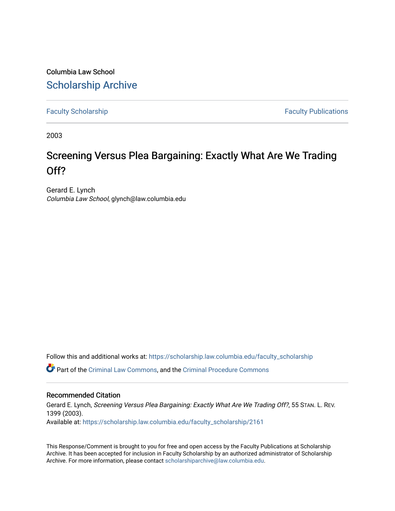Columbia Law School [Scholarship Archive](https://scholarship.law.columbia.edu/) 

[Faculty Scholarship](https://scholarship.law.columbia.edu/faculty_scholarship) **Faculty Scholarship Faculty Publications** 

2003

## Screening Versus Plea Bargaining: Exactly What Are We Trading Off?

Gerard E. Lynch Columbia Law School, glynch@law.columbia.edu

Follow this and additional works at: [https://scholarship.law.columbia.edu/faculty\\_scholarship](https://scholarship.law.columbia.edu/faculty_scholarship?utm_source=scholarship.law.columbia.edu%2Ffaculty_scholarship%2F2161&utm_medium=PDF&utm_campaign=PDFCoverPages)

Part of the [Criminal Law Commons,](http://network.bepress.com/hgg/discipline/912?utm_source=scholarship.law.columbia.edu%2Ffaculty_scholarship%2F2161&utm_medium=PDF&utm_campaign=PDFCoverPages) and the [Criminal Procedure Commons](http://network.bepress.com/hgg/discipline/1073?utm_source=scholarship.law.columbia.edu%2Ffaculty_scholarship%2F2161&utm_medium=PDF&utm_campaign=PDFCoverPages)

## Recommended Citation

Gerard E. Lynch, Screening Versus Plea Bargaining: Exactly What Are We Trading Off?, 55 STAN. L. REV. 1399 (2003). Available at: [https://scholarship.law.columbia.edu/faculty\\_scholarship/2161](https://scholarship.law.columbia.edu/faculty_scholarship/2161?utm_source=scholarship.law.columbia.edu%2Ffaculty_scholarship%2F2161&utm_medium=PDF&utm_campaign=PDFCoverPages)

This Response/Comment is brought to you for free and open access by the Faculty Publications at Scholarship Archive. It has been accepted for inclusion in Faculty Scholarship by an authorized administrator of Scholarship Archive. For more information, please contact [scholarshiparchive@law.columbia.edu](mailto:scholarshiparchive@law.columbia.edu).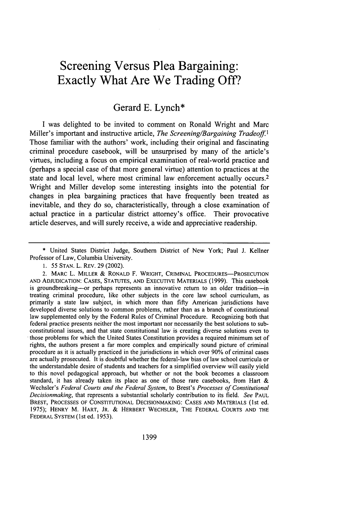## **Screening Versus Plea Bargaining: Exactly What Are We Trading Off?**

## Gerard **E.** Lynch\*

I was delighted to be invited to comment on Ronald Wright and Marc Miller's important and instructive article, *The Screening/Bargaining Tradeoff.1* Those familiar with the authors' work, including their original and fascinating criminal procedure casebook, will be unsurprised by many of the article's virtues, including a focus on empirical examination of real-world practice and (perhaps a special case of that more general virtue) attention to practices at the state and local level, where most criminal law enforcement actually occurs. <sup>2</sup> Wright and Miller develop some interesting insights into the potential for changes in plea bargaining practices that have frequently been treated as inevitable, and they do so, characteristically, through a close examination of actual practice in a particular district attorney's office. Their provocative article deserves, and will surely receive, a wide and appreciative readership.

\* United States District Judge, Southern District of New York; Paul J. Kellner Professor of Law, Columbia University.

1. 55 **STAN.** L. REV. 29 (2002).

2. MARC L. MILLER & RONALD F. WRIGHT, CRIMINAL PROCEDURES-PROSECUTION AND ADJUDICATION: CASES, STATUTES, AND EXECUTIVE MATERIALS (1999). This casebook is groundbreaking---or perhaps represents an innovative return to an older tradition----in treating criminal procedure, like other subjects in the core law school curriculum, as primarily a state law subject, in which more than fifty American jurisdictions have developed diverse solutions to common problems, rather than as a branch of constitutional law supplemented only by the Federal Rules of Criminal Procedure. Recognizing both that federal practice presents neither the most important nor necessarily the best solutions to subconstitutional issues, and that state constitutional law is creating diverse solutions even to those problems for which the United States Constitution provides a required minimum set of rights, the authors present a far more complex and empirically sound picture of criminal procedure as it is actually practiced in the jurisdictions in which over 90% of criminal cases are actually prosecuted. It is doubtful whether the federal-law bias of law school curricula or the understandable desire of students and teachers for a simplified overview will easily yield to this novel pedagogical approach, but whether or not the book becomes a classroom standard, it has already taken its place as one of those rare casebooks, from Hart & Wechsler's *Federal Courts and the Federal System,* to Brest's *Processes of Constitutional Decisionmaking,* that represents a substantial scholarly contribution to its field. *See* **PAUL** BREST, **PROCESSES** OF **CONSTITUTIONAL DECISIONMAKING: CASES AND** MATERIALS (1st ed. 1975); HENRY M. **HART,** JR. & HERBERT WECHSLER, THE FEDERAL **COURTS AND** THE FEDERAL SYSTEM (lst ed. 1953).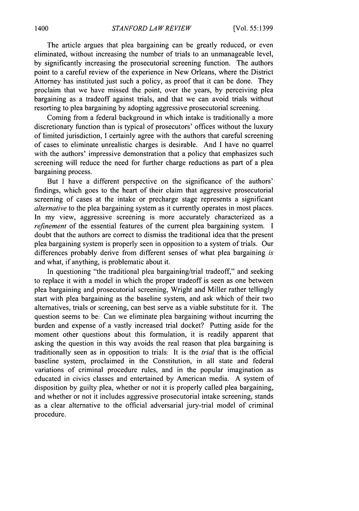The article argues that plea bargaining can be greatly reduced, or even eliminated, without increasing the number of trials to an unmanageable level, by significantly increasing the prosecutorial screening function. The authors point to a careful review of the experience in New Orleans, where the District Attorney has instituted just such a policy, as proof that it can be done. They proclaim that we have missed the point, over the years, by perceiving plea bargaining as a tradeoff against trials, and that we can avoid trials without resorting to plea bargaining by adopting aggressive prosecutorial screening.

Coming from a federal background in which intake is traditionally a more discretionary function than is typical of prosecutors' offices without the luxury of limited jurisdiction, **I** certainly agree with the authors that careful screening of cases to eliminate unrealistic charges is desirable. And I have no quarrel with the authors' impressive demonstration that a policy that emphasizes such screening will reduce the need for further charge reductions as part of a plea bargaining process.

But I have a different perspective on the significance of the authors' findings, which goes to the heart of their claim that aggressive prosecutorial screening of cases at the intake or precharge stage represents a significant *alternative* to the plea bargaining system as it currently operates in most places. In my view, aggressive screening is more accurately characterized as a refinement of the essential features of the current plea bargaining system. I doubt that the authors are correct to dismiss the traditional idea that the present plea bargaining system is properly seen in opposition to a system of trials. Our differences probably derive from different senses of what plea bargaining *is* and what, if anything, is problematic about it.

In questioning "the traditional plea bargaining/trial tradeoff," and seeking to replace it with a model in which the proper tradeoff is seen as one between plea bargaining and prosecutorial screening, Wright and Miller rather tellingly start with plea bargaining as the baseline system, and ask which of their two alternatives, trials or screening, can best serve as a viable substitute for it. The question seems to be: Can we eliminate plea bargaining without incurring the burden and expense of a vastly increased trial docket? Putting aside for the moment other questions about this formulation, it is readily apparent that asking the question in this way avoids the real reason that plea bargaining is traditionally seen as in opposition to trials: It is the *trial* that is the official baseline system, proclaimed in the Constitution, in all state and federal variations of criminal procedure rules, and in the popular imagination as educated in civics classes and entertained by American media. A system of disposition by guilty plea, whether or not it is properly called plea bargaining, and whether or not it includes aggressive prosecutorial intake screening, stands as a clear alternative to the official adversarial jury-trial model of criminal procedure.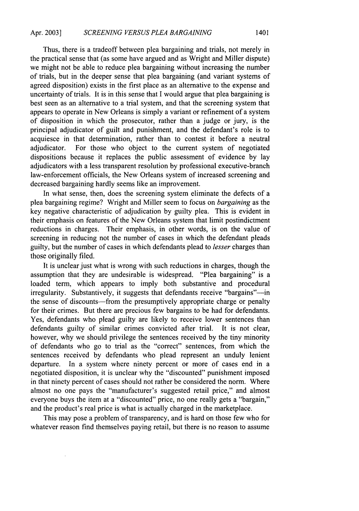Thus, there is a tradeoff between plea bargaining and trials, not merely in the practical sense that (as some have argued and as Wright and Miller dispute) we might not be able to reduce plea bargaining without increasing the number of trials, but in the deeper sense that plea bargaining (and variant systems of agreed disposition) exists in the first place as an alternative to the expense and uncertainty of trials. It is in this sense that I would argue that plea bargaining is best seen as an alternative to a trial system, and that the screening system that appears to operate in New Orleans is simply a variant or refinement of a system of disposition in which the prosecutor, rather than a judge or jury, is the principal adjudicator of guilt and punishment, and the defendant's role is to acquiesce in that determination, rather than to contest it before a neutral adjudicator. For those who object to the current system of negotiated dispositions because it replaces the public assessment of evidence by lay adjudicators with a less transparent resolution by professional executive-branch law-enforcement officials, the New Orleans system of increased screening and decreased bargaining hardly seems like an improvement.

In what sense, then, does the screening system eliminate the defects of a plea bargaining regime? Wright and Miller seem to focus on *bargaining* as the key negative characteristic of adjudication by guilty plea. This is evident in their emphasis on features of the New Orleans system that limit postindictment reductions in charges. Their emphasis, in other words, is on the value of screening in reducing not the number of cases in which the defendant pleads guilty, but the number of cases in which defendants plead to *lesser* charges than those originally filed.

It is unclear just what is wrong with such reductions in charges, though the assumption that they are undesirable is widespread. "Plea bargaining" is a loaded term, which appears to imply both substantive and procedural irregularity. Substantively, it suggests that defendants receive "bargains"—in the sense of discounts—from the presumptively appropriate charge or penalty for their crimes. But there are precious few bargains to be had for defendants. Yes, defendants who plead guilty are likely to receive lower sentences than defendants guilty of similar crimes convicted after trial. It is not clear, however, why we should privilege the sentences received by the tiny minority of defendants who go to trial as the "correct" sentences, from which the sentences received by defendants who plead represent an unduly lenient departure. In a system where ninety percent or more of cases end in a negotiated disposition, it is unclear why the "discounted" punishment imposed in that ninety percent of cases should not rather be considered the norm. Where almost no one pays the "manufacturer's suggested retail price," and almost everyone buys the item at a "discounted" price, no one really gets a "bargain," and the product's real price is what is actually charged in the marketplace.

This may pose a problem of transparency, and is hard on those few who for whatever reason find themselves paying retail, but there is no reason to assume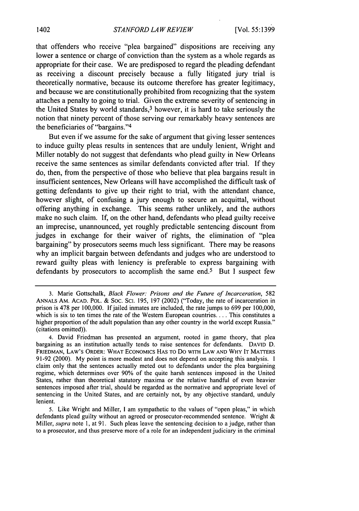that offenders who receive "plea bargained" dispositions are receiving any lower a sentence or charge of conviction than the system as a whole regards as appropriate for their case. We are predisposed to regard the pleading defendant as receiving a discount precisely because a fully litigated jury trial is theoretically normative, because its outcome therefore has greater legitimacy, and because we are constitutionally prohibited from recognizing that the system attaches a penalty to going to trial. Given the extreme severity of sentencing in the United States by world standards, 3 however, it is hard to take seriously the notion that ninety percent of those serving our remarkably heavy sentences are the beneficiaries of "bargains."<sup>4</sup>

But even if we assume for the sake of argument that giving lesser sentences to induce guilty pleas results in sentences that are unduly lenient, Wright and Miller notably do not suggest that defendants who plead guilty in New Orleans receive the same sentences as similar defendants convicted after trial. If they do, then, from the perspective of those who believe that plea bargains result in insufficient sentences, New Orleans will have accomplished the difficult task of getting defendants to give up their right to trial, with the attendant chance, however slight, of confusing a jury enough to secure an acquittal, without offering anything in exchange. This seems rather unlikely, and the authors make no such claim. If, on the other hand, defendants who plead guilty receive an imprecise, unannounced, yet roughly predictable sentencing discount from judges in exchange for their waiver of rights, the elimination of "plea bargaining" by prosecutors seems much less significant. There may be reasons why an implicit bargain between defendants and judges who are understood to reward guilty pleas with leniency is preferable to express bargaining with defendants by prosecutors to accomplish the same end.<sup>5</sup> But I suspect few

<sup>3.</sup> Marie Gottschalk, *Black Flower: Prisons and the Future of Incarceration, 582* ANNALS AM. ACAD. POL. & SOC. SCI. 195, 197 (2002) ("Today, the rate of incarceration in prison is 478 per 100,000. If jailed inmates are included, the rate jumps to 699 per 100,000, which is six to ten times the rate of the Western European countries. . . . This constitutes a higher proportion of the adult population than any other country in the world except Russia." (citations omitted)).

<sup>4.</sup> David Friedman has presented an argument, rooted in game theory, that plea bargaining as an institution actually tends to raise sentences for defendants. **DAVID** D. FRIEDMAN, LAW'S ORDER: WHAT ECONOMICS **HAS** TO Do WITH LAW **AND** WHY IT MATTERS 91-92 (2000). My point is more modest and does not depend on accepting this analysis. I claim only that the sentences actually meted out to defendants under the plea bargaining regime, which determines over 90% of the quite harsh sentences imposed in the United States, rather than theoretical statutory maxima or the relative handful of even heavier sentences imposed after trial, should be regarded as the normative and appropriate level of sentencing in the United States, and are certainly not, by any objective standard, unduly lenient.

<sup>5.</sup> Like Wright and Miller, I am sympathetic to the values of "open pleas," in which defendants plead guilty without an agreed or prosecutor-recommended sentence. Wright & Miller, *supra* note **1,** at 91. Such pleas leave the sentencing decision to a judge, rather than to a prosecutor, and thus preserve more of a role for an independent judiciary in the criminal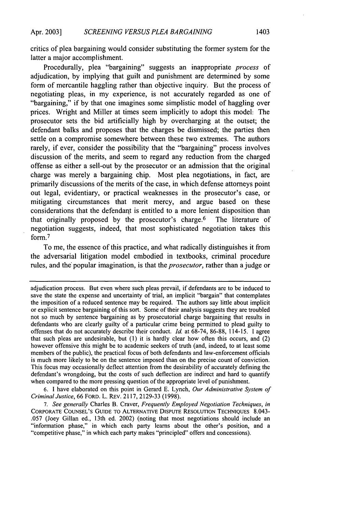critics of plea bargaining would consider substituting the former system for the latter a major accomplishment.

Procedurally, plea "bargaining" suggests an inappropriate *process* of adjudication, by implying that guilt and punishment are determined by some form of mercantile haggling rather than objective inquiry. But the process of negotiating pleas, in my experience, is not accurately regarded as one of "bargaining," if by that one imagines some simplistic model of haggling over prices. Wright and Miller at times seem implicitly to adopt this model: The prosecutor sets the bid artificially high by overcharging at the outset; the defendant balks and proposes that the charges be dismissed; the parties then settle on a compromise somewhere between these two extremes. The authors rarely, if ever, consider the possibility that the "bargaining" process involves discussion of the merits, and seem to regard any reduction from the charged offense as either a sell-out by the prosecutor or an admission that the original charge was merely a bargaining chip. Most plea negotiations, in fact, are primarily discussions of the merits of the case, in which defense attorneys point out legal, evidentiary, or practical weaknesses in the prosecutor's case, or mitigating circumstances that merit mercy, and argue based on these considerations that the defendant is entitled to a more lenient disposition than that originally proposed by the prosecutor's charge.6 The literature of negotiation suggests, indeed, that most sophisticated negotiation takes this form. <sup>7</sup>

To me, the essence of this practice, and what radically distinguishes it from the adversarial litigation model embodied in textbooks, criminal procedure rules, and the popular imagination, is that the *prosecutor,* rather than a judge or

6. 1 have elaborated on this point in Gerard E. Lynch, *Our Administrative System of Criminal Justice,* 66 FORD. L. REV. 2117, 2129-33 (1998).

*7. See generally* Charles B. Craver, *Frequently Employed Negotiation Techniques, in* CORPORATE **COUNSEL'S GUIDE** TO ALTERNATIVE **DISPUTE** RESOLUTION TECHNIQUES 8.043- .057 (Joey Gillan ed., 13th ed. 2002) (noting that most negotiations should include an "information phase," in which each party learns about the other's position, and a "competitive phase," in which each party makes "principled" offers and concessions).

adjudication process. But even where such pleas prevail, if defendants are to be induced to save the state the expense and uncertainty of trial, an implicit "bargain" that contemplates the imposition of a reduced sentence may be required. The authors say little about implicit or explicit sentence bargaining of this sort. Some of their analysis suggests they are troubled not so much by sentence bargaining as by prosecutorial charge bargaining that results in defendants who are clearly guilty of a particular crime being permitted to plead guilty to offenses that do not accurately describe their conduct. *Id.* at  $68-74$ ,  $86-88$ ,  $114-15$ . I agree that such pleas are undesirable, but (1) it is hardly clear how often this occurs, and (2) however offensive this might be to academic seekers of truth (and, indeed, to at least some members of the public), the practical focus of both defendants and law-enforcement officials is much more likely to be on the sentence imposed than on the precise count of conviction. This focus may occasionally deflect attention from the desirability of accurately defining the defendant's wrongdoing, but the costs of such deflection are indirect and hard to quantify when compared to the more pressing question of the appropriate level of punishment.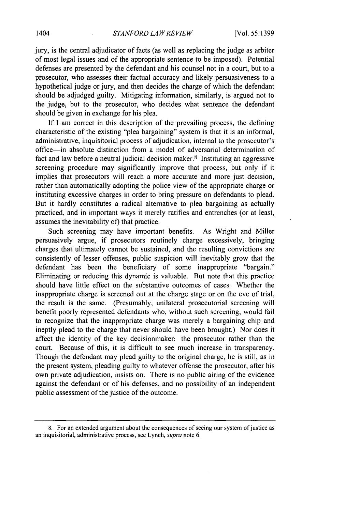jury, is the central adjudicator of facts (as well as replacing the judge as arbiter of most legal issues and of the appropriate sentence to be imposed). Potential defenses are presented by the defendant and his counsel not in a court, but to a prosecutor, who assesses their factual accuracy and likely persuasiveness to a hypothetical judge or jury, and then decides the charge of which the defendant should be adjudged guilty. Mitigating information, similarly, is argued not to the judge, but to the prosecutor, who decides what sentence the defendant should be given in exchange for his plea.

If I am correct in this description of the prevailing process, the defining characteristic of the existing "plea bargaining" system is that it is an informal, administrative, inquisitorial process of adjudication, internal to the prosecutor's office-in absolute distinction from a model of adversarial determination of fact and law before a neutral judicial decision maker. $8$  Instituting an aggressive screening procedure may significantly improve that process, but only if it implies that prosecutors will reach a more accurate and more just decision, rather than automatically adopting the police view of the appropriate charge or instituting excessive charges in order to bring pressure on defendants to plead. But it hardly constitutes a radical alternative to plea bargaining as actually practiced, and in important ways it merely ratifies and entrenches (or at least, assumes the inevitability of) that practice.

Such screening may have important benefits. As Wright and Miller persuasively argue, if prosecutors routinely charge excessively, bringing charges that ultimately cannot be sustained, and the resulting convictions are consistently of lesser offenses, public suspicion will inevitably grow that the defendant has been the beneficiary of some inappropriate "bargain." Eliminating or reducing this dynamic is valuable. But note that this practice should have little effect on the substantive outcomes of cases: Whether the inappropriate charge is screened out at the charge stage or on the eve of trial, the result is the same. (Presumably, unilateral prosecutorial screening will benefit poorly represented defendants who, without such screening, would fail to recognize that the inappropriate charge was merely a bargaining chip and ineptly plead to the charge that never should have been brought.) Nor does it affect the identity of the key decisionmaker: the prosecutor rather than the court. Because of this, it is difficult to see much increase in transparency. Though the defendant may plead guilty to the original charge, he is still, as in the present system, pleading guilty to whatever offense the prosecutor, after his own private adjudication, insists on. There is no public airing of the evidence against the defendant or of his defenses, and no possibility of an independent public assessment of the justice of the outcome.

<sup>8.</sup> For an extended argument about the consequences of seeing our system of justice as an inquisitorial, administrative process, see Lynch, *supra* note 6.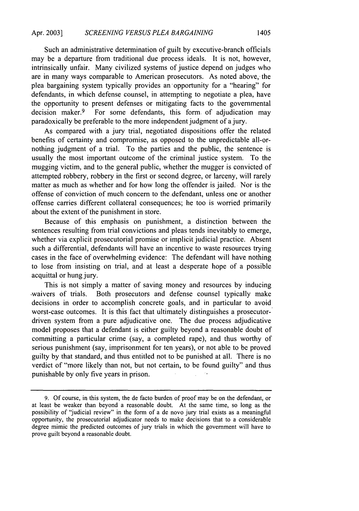Such an administrative determination of guilt by executive-branch officials may be a departure from traditional due process ideals. It is not, however, intrinsically unfair. Many civilized systems of justice depend on judges who are in many ways comparable to American prosecutors. As noted above, the plea bargaining system typically provides an'opportunity for a "hearing" for defendants, in which defense counsel, in attempting to negotiate a plea, have the opportunity to present defenses or mitigating facts to the governmental decision maker.<sup>9</sup> For some defendants, this form of adjudication may paradoxically be preferable to the more independent judgment of a jury.

As compared with a jury trial, negotiated dispositions offer the related benefits of certainty and compromise, as opposed to the unpredictable all-ornothing judgment of a trial. To the parties and the public, the sentence is usually the most important outcome of the criminal justice system. To the mugging victim, and to the general public, whether the mugger is convicted of attempted robbery, robbery in the first or second degree, or larceny, will rarely matter as much as whether and for how long the offender is jailed. Nor is the offense of conviction of much concern to the .defendant, unless one or another offense carries different collateral consequences; he too is worried primarily about the extent of the punishment in store.

Because of this emphasis on punishment, a distinction between the sentences resulting from trial convictions and pleas tends inevitably to emerge, whether via explicit prosecutorial promise or implicit judicial practice. Absent such a differential, defendants will have an incentive to waste resources trying cases in the face of overwhelming evidence: The defendant will have nothing to lose from insisting on trial, and at least a desperate hope of a possible acquittal or hung jury.

This is not simply a matter of saving money and resources by inducing .waivers of trials. Both prosecutors and defense counsel typically make decisions in order to accomplish concrete goals, and in particular to avoid worst-case outcomes. It is this fact that ultimately distinguishes a prosecutordriven system from a pure adjudicative one. The due process adjudicative model proposes that a defendant is either guilty beyond a reasonable doubt of committing a particular crime (say, a completed rape), and thus worthy of serious punishment (say, imprisonment for ten years), or not able to be proved guilty by that standard, and thus entitled not to be punished at all. There is no verdict of "more likely than not, but not certain, to be found guilty" and thus punishable by only five years in prison.

<sup>9.</sup> Of course, in this system, the de facto burden of proof may be on the defendant, or at least be weaker than beyond a reasonable doubt. At the same time, so long as the possibility of "judicial review" in the form of a de novo jury trial exists as a meaningful opportunity, the prosecutorial adjudicator needs to make decisions that to a considerable degree mimic the predicted outcomes of jury trials in which the government will have to prove guilt beyond a reasonable doubt.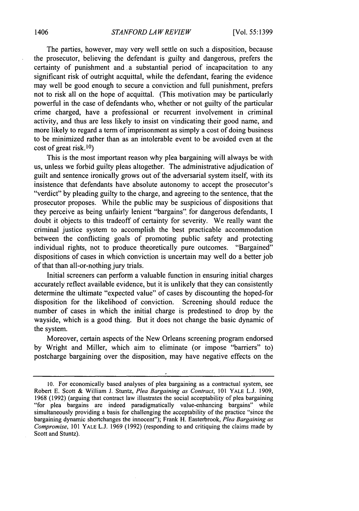The parties, however, may very well settle on such a disposition, because the prosecutor, believing the defendant is guilty and dangerous, prefers the certainty of punishment and .a substantial period of incapacitation to any significant risk of outright acquittal, while the defendant, fearing the evidence may well be good enough to secure a conviction and full punishment, prefers not to risk all on the hope of acquittal. (This motivation may be particularly powerful in the case of defendants who, whether or not guilty of the particular crime charged, have a professional or recurrent involvement in criminal activity, and thus are less likely to insist on vindicating their good name, and more likely to regard a term of imprisonment as simply a cost of doing business to be minimized rather than as an intolerable event to be avoided even at the cost of great risk.10)

This is the most important reason why plea bargaining will always be with us, unless we forbid guilty pleas altogether. The administrative adjudication of guilt and sentence ironically grows out of the adversarial system itself, with its insistence that defendants have absolute autonomy to accept the prosecutor's "verdict" by pleading guilty to the charge, and agreeing to the sentence, that the prosecutor proposes. While the public may be suspicious of dispositions that they perceive as being unfairly lenient "bargains". for dangerous defendants, I doubt it objects to this tradeoff of certainty for severity. We really want the criminal justice system to accomplish the best practicable accommodation between the conflicting goals of promoting public safety and protecting individual rights, not to produce theoretically pure outcomes. "Bargained" dispositions of cases in which conviction is uncertain may well do a better job of that than all-or-nothing jury trials.

Initial screeners can perform a valuable function in ensuring initial charges accurately reflect available evidence, but it is unlikely that they can consistently determine the ultimate "expected value" of cases by discounting the hoped-for disposition for the likelihood of conviction. Screening should reduce the number of cases in which the initial charge is predestined to drop by the wayside, which is a good thing. But it does not change the basic dynamic of the system.

Moreover, certain aspects of the New Orleans screening program endorsed by Wright and Miller, which aim to eliminate (or impose "barriers" to) postcharge bargaining over the disposition, may have negative effects on the

<sup>10.</sup> For economically based analyses of plea bargaining as a contractual system, see Robert **E.** Scott & William J. Stuntz, *Plea Bargaining as Contract, 101* YALE L.J. 1909, 1968 (1992) (arguing that contract law illustrates the social acceptability of plea bargaining "for plea bargains are indeed paradigmatically value-enhancing bargains" while simultaneously providing a basis for challenging the acceptability of the practice "since the bargaining dynamic shortchanges the innocent"); Frank H. Easterbrook, *Plea Bargaining as Compromise,* 101 YALE L.J. 1969 (1992) (responding to and critiquing the claims made by Scott and Stuntz).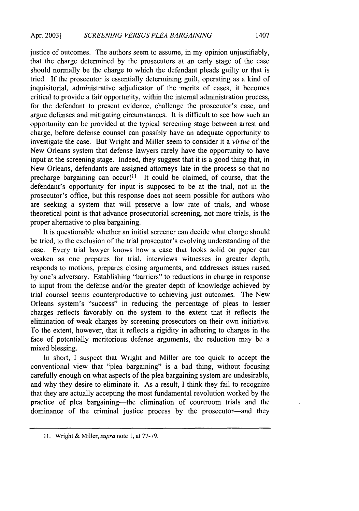justice of outcomes. The authors seem to assume, in my opinion unjustifiably, that the charge determined by the prosecutors at an early stage of the case should normally be the charge to which the defendant pleads guilty or that is tried. If the prosecutor is essentially determining guilt, operating as a kind of inquisitorial, administrative adjudicator of the merits of cases, it becomes critical to provide a fair opportunity, within the internal administration process, for the defendant to present evidence, challenge the prosecutor's case, and argue defenses and mitigating circumstances. It is difficult to see how such an opportunity can be provided at the typical screening stage between arrest and charge, before defense counsel can possibly have an adequate opportunity to investigate the case. But Wright and Miller seem to consider it a *virtue* of the New Orleans system that defense lawyers rarely have the opportunity to have input at the screening stage. Indeed, they suggest that it is a good thing that, in New Orleans, defendants are assigned attorneys late in the process so that no precharge bargaining can occur!<sup>11</sup> It could be claimed, of course, that the defendant's opportunity for input is supposed to be at the trial, not in the prosecutor's office, but this response does not seem possible for authors who are seeking a system that will preserve a low rate of trials, and whose theoretical point is that advance prosecutorial screening, not more trials, is the proper alternative to plea bargaining.

It is questionable whether an initial screener can decide what charge should be tried, to the exclusion of the trial prosecutor's evolving understanding of the case. Every trial lawyer knows how a case that looks solid on paper can weaken as one prepares for trial, interviews witnesses in greater depth, responds to motions, prepares closing arguments, and addresses issues raised by one's adversary. Establishing "barriers" to reductions in charge in response to input from the defense and/or the greater depth of knowledge achieved by trial counsel seems counterproductive to achieving just outcomes. The New Orleans system's "success" in reducing the percentage of pleas to lesser charges reflects favorably on the system to the extent that it reflects the elimination of weak charges by screening prosecutors on their own initiative. To the extent, however, that it reflects a rigidity in adhering to charges in the face of potentially meritorious defense arguments, the reduction may be a mixed blessing.

In short, I suspect that Wright and Miller are too quick to accept the conventional view that "plea bargaining" is a bad thing, without focusing carefully enough on what aspects of the plea bargaining system are undesirable, and why they desire to eliminate it. As a result, I think they fail to recognize that they are actually accepting the most fundamental revolution worked by the practice of plea bargaining—the elimination of courtroom trials and the dominance of the criminal justice process by the prosecutor-and they

<sup>11.</sup> Wright & Miller, *supra* note 1, at 77-79.